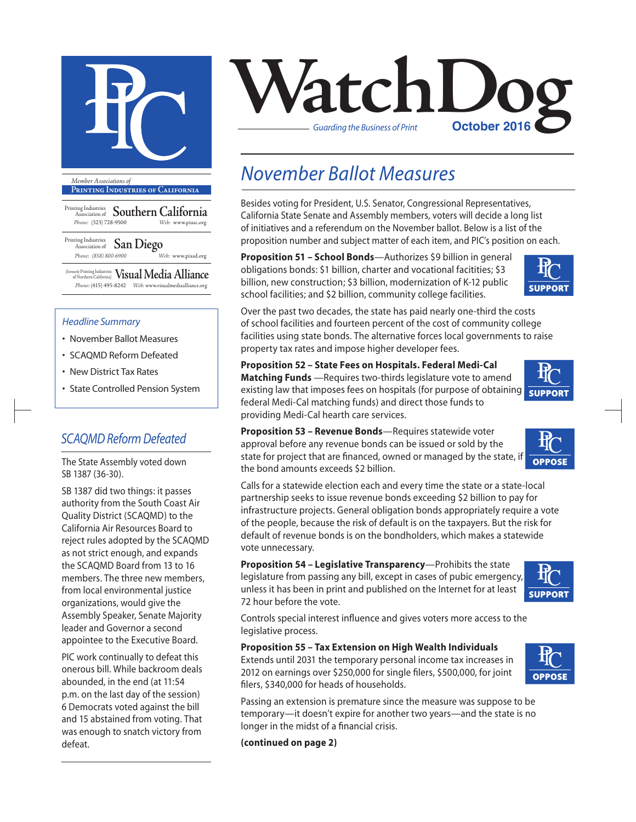

**Printing Industries of California**

Printing Industries Association of **Southern California** *Phone:* (323) 728-9500 *Web:* www.piasc.org

Printing Industries Association of **San Diego** *Phone: (858) 800-6900 Web:* www.piasd.org

(formerly Printing Industries of Northern California) **Visual Media Alliance** *Phone:* (415) 495-8242 *Web:* www.visualmediaalliance.org

#### *Headline Summary*

- November Ballot Measures
- SCAQMD Reform Defeated
- New District Tax Rates
- State Controlled Pension System

### *SCAQMD Reform Defeated*

The State Assembly voted down SB 1387 (36-30).

SB 1387 did two things: it passes authority from the South Coast Air Quality District (SCAQMD) to the California Air Resources Board to reject rules adopted by the SCAQMD as not strict enough, and expands the SCAQMD Board from 13 to 16 members. The three new members, from local environmental justice organizations, would give the Assembly Speaker, Senate Majority leader and Governor a second appointee to the Executive Board.

PIC work continually to defeat this onerous bill. While backroom deals abounded, in the end (at 11:54 p.m. on the last day of the session) 6 Democrats voted against the bill and 15 abstained from voting. That was enough to snatch victory from defeat.



## *November Ballot Measures*

Besides voting for President, U.S. Senator, Congressional Representatives, California State Senate and Assembly members, voters will decide a long list of initiatives and a referendum on the November ballot. Below is a list of the proposition number and subject matter of each item, and PIC's position on each.

**Proposition 51 – School Bonds**—Authorizes \$9 billion in general obligations bonds: \$1 billion, charter and vocational facitities; \$3 billion, new construction; \$3 billion, modernization of K-12 public school facilities; and \$2 billion, community college facilities.



Over the past two decades, the state has paid nearly one-third the costs of school facilities and fourteen percent of the cost of community college facilities using state bonds. The alternative forces local governments to raise property tax rates and impose higher developer fees.

**Proposition 52 – State Fees on Hospitals. Federal Medi-Cal Matching Funds** —Requires two-thirds legislature vote to amend existing law that imposes fees on hospitals (for purpose of obtaining support federal Medi-Cal matching funds) and direct those funds to providing Medi-Cal hearth care services.



**OPPOSE** 

**Proposition 53 – Revenue Bonds**—Requires statewide voter approval before any revenue bonds can be issued or sold by the state for project that are financed, owned or managed by the state, if the bond amounts exceeds \$2 billion.

Calls for a statewide election each and every time the state or a state-local partnership seeks to issue revenue bonds exceeding \$2 billion to pay for infrastructure projects. General obligation bonds appropriately require a vote of the people, because the risk of default is on the taxpayers. But the risk for default of revenue bonds is on the bondholders, which makes a statewide vote unnecessary.

**Proposition 54 – Legislative Transparency**—Prohibits the state legislature from passing any bill, except in cases of pubic emergency, unless it has been in print and published on the Internet for at least 72 hour before the vote.

Controls special interest influence and gives voters more access to the legislative process.

#### **Proposition 55 – Tax Extension on High Wealth Individuals**

Extends until 2031 the temporary personal income tax increases in 2012 on earnings over \$250,000 for single filers, \$500,000, for joint filers, \$340,000 for heads of households.





Passing an extension is premature since the measure was suppose to be temporary—it doesn't expire for another two years—and the state is no longer in the midst of a financial crisis.

**(continued on page 2)**